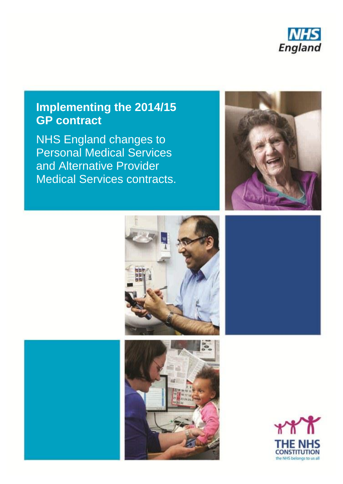

# **Implementing the 2014/15 GP contract**

NHS England changes to Personal Medical Services and Alternative Provider Medical Services contracts.







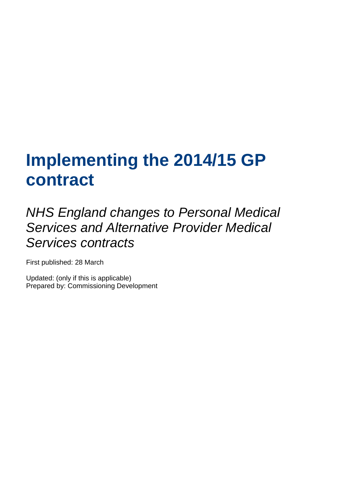# **Implementing the 2014/15 GP contract**

*NHS England changes to Personal Medical Services and Alternative Provider Medical Services contracts*

First published: 28 March

Updated: (only if this is applicable) Prepared by: Commissioning Development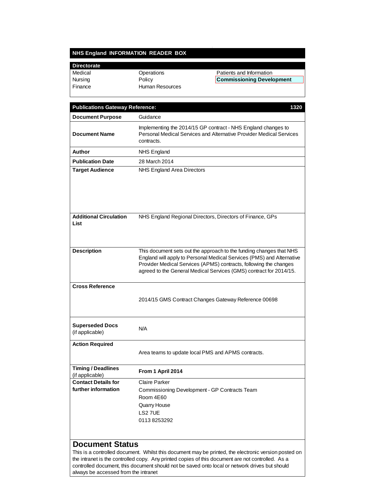# **NHS England INFORMATION READER BOX**

| <b>Directorate</b>                                                                                                                                                                                        |                                                                                                                                                                                                                                                                                         |                                                           |  |  |
|-----------------------------------------------------------------------------------------------------------------------------------------------------------------------------------------------------------|-----------------------------------------------------------------------------------------------------------------------------------------------------------------------------------------------------------------------------------------------------------------------------------------|-----------------------------------------------------------|--|--|
| Medical                                                                                                                                                                                                   | Operations                                                                                                                                                                                                                                                                              | Patients and Information                                  |  |  |
| Nursing                                                                                                                                                                                                   | Policy                                                                                                                                                                                                                                                                                  | <b>Commissioning Development</b>                          |  |  |
| Finance                                                                                                                                                                                                   | Human Resources                                                                                                                                                                                                                                                                         |                                                           |  |  |
| 1320<br><b>Publications Gateway Reference:</b>                                                                                                                                                            |                                                                                                                                                                                                                                                                                         |                                                           |  |  |
| <b>Document Purpose</b>                                                                                                                                                                                   | Guidance                                                                                                                                                                                                                                                                                |                                                           |  |  |
| <b>Document Name</b>                                                                                                                                                                                      | Implementing the 2014/15 GP contract - NHS England changes to<br>Personal Medical Services and Alternative Provider Medical Services<br>contracts.                                                                                                                                      |                                                           |  |  |
| Author                                                                                                                                                                                                    | <b>NHS England</b>                                                                                                                                                                                                                                                                      |                                                           |  |  |
| <b>Publication Date</b>                                                                                                                                                                                   | 28 March 2014                                                                                                                                                                                                                                                                           |                                                           |  |  |
| <b>Target Audience</b>                                                                                                                                                                                    | NHS England Area Directors                                                                                                                                                                                                                                                              |                                                           |  |  |
| <b>Additional Circulation</b>                                                                                                                                                                             |                                                                                                                                                                                                                                                                                         | NHS England Regional Directors, Directors of Finance, GPs |  |  |
| List                                                                                                                                                                                                      |                                                                                                                                                                                                                                                                                         |                                                           |  |  |
| <b>Description</b>                                                                                                                                                                                        | This document sets out the approach to the funding changes that NHS<br>England will apply to Personal Medical Services (PMS) and Alternative<br>Provider Medical Services (APMS) contracts, following the changes<br>agreed to the General Medical Services (GMS) contract for 2014/15. |                                                           |  |  |
| <b>Cross Reference</b>                                                                                                                                                                                    |                                                                                                                                                                                                                                                                                         |                                                           |  |  |
|                                                                                                                                                                                                           |                                                                                                                                                                                                                                                                                         | 2014/15 GMS Contract Changes Gateway Reference 00698      |  |  |
| <b>Superseded Docs</b><br>(if applicable)                                                                                                                                                                 | N/A                                                                                                                                                                                                                                                                                     |                                                           |  |  |
| <b>Action Required</b>                                                                                                                                                                                    |                                                                                                                                                                                                                                                                                         | Area teams to update local PMS and APMS contracts.        |  |  |
| <b>Timing / Deadlines</b><br>(if applicable)                                                                                                                                                              | From 1 April 2014                                                                                                                                                                                                                                                                       |                                                           |  |  |
| <b>Contact Details for</b>                                                                                                                                                                                | <b>Claire Parker</b>                                                                                                                                                                                                                                                                    |                                                           |  |  |
| further information                                                                                                                                                                                       | Commissioning Development - GP Contracts Team                                                                                                                                                                                                                                           |                                                           |  |  |
|                                                                                                                                                                                                           | Room 4E60                                                                                                                                                                                                                                                                               |                                                           |  |  |
|                                                                                                                                                                                                           | Quarry House<br>LS2 7UE                                                                                                                                                                                                                                                                 |                                                           |  |  |
|                                                                                                                                                                                                           | 01138253292                                                                                                                                                                                                                                                                             |                                                           |  |  |
|                                                                                                                                                                                                           |                                                                                                                                                                                                                                                                                         |                                                           |  |  |
| <b>Document Status</b>                                                                                                                                                                                    |                                                                                                                                                                                                                                                                                         |                                                           |  |  |
| This is a controlled document. Whilst this document may be printed, the electronic version posted on<br>the intranet is the controlled copy. Any printed copies of this document are not controlled. As a |                                                                                                                                                                                                                                                                                         |                                                           |  |  |
| controlled document, this document should not be saved onto local or network drives but should                                                                                                            |                                                                                                                                                                                                                                                                                         |                                                           |  |  |
| always be accessed from the intranet                                                                                                                                                                      |                                                                                                                                                                                                                                                                                         |                                                           |  |  |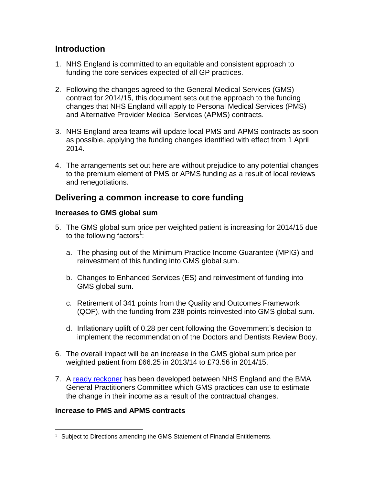## **Introduction**

- 1. NHS England is committed to an equitable and consistent approach to funding the core services expected of all GP practices.
- 2. Following the changes agreed to the General Medical Services (GMS) contract for 2014/15, this document sets out the approach to the funding changes that NHS England will apply to Personal Medical Services (PMS) and Alternative Provider Medical Services (APMS) contracts.
- 3. NHS England area teams will update local PMS and APMS contracts as soon as possible, applying the funding changes identified with effect from 1 April 2014.
- 4. The arrangements set out here are without prejudice to any potential changes to the premium element of PMS or APMS funding as a result of local reviews and renegotiations.

#### **Delivering a common increase to core funding**

#### **Increases to GMS global sum**

- 5. The GMS global sum price per weighted patient is increasing for 2014/15 due to the following factors<sup>1</sup>:
	- a. The phasing out of the Minimum Practice Income Guarantee (MPIG) and reinvestment of this funding into GMS global sum.
	- b. Changes to Enhanced Services (ES) and reinvestment of funding into GMS global sum.
	- c. Retirement of 341 points from the Quality and Outcomes Framework (QOF), with the funding from 238 points reinvested into GMS global sum.
	- d. Inflationary uplift of 0.28 per cent following the Government's decision to implement the recommendation of the Doctors and Dentists Review Body.
- 6. The overall impact will be an increase in the GMS global sum price per weighted patient from £66.25 in 2013/14 to £73.56 in 2014/15.
- 7. A ready [reckoner](http://bma.org.uk/working-for-change/negotiating-for-the-profession/bma-general-practitioners-committee/priorities/mpig/practice-funding-ready-reckoner) has been developed between NHS England and the BMA General Practitioners Committee which GMS practices can use to estimate the change in their income as a result of the contractual changes.

#### **Increase to PMS and APMS contracts**

l

<sup>&</sup>lt;sup>1</sup> Subject to Directions amending the GMS Statement of Financial Entitlements.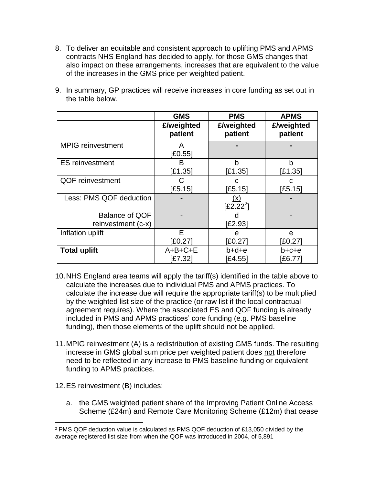8. To deliver an equitable and consistent approach to uplifting PMS and APMS contracts NHS England has decided to apply, for those GMS changes that also impact on these arrangements, increases that are equivalent to the value of the increases in the GMS price per weighted patient.

|                                      | <b>GMS</b>  | <b>PMS</b>                       | <b>APMS</b> |
|--------------------------------------|-------------|----------------------------------|-------------|
|                                      | £/weighted  | £/weighted                       | £/weighted  |
|                                      | patient     | patient                          | patient     |
| <b>MPIG</b> reinvestment             | A<br>E0.551 |                                  |             |
| <b>ES</b> reinvestment               | B           | b                                | b           |
|                                      | E1.35]      | E1.35]                           | [£1.35]     |
| <b>QOF reinvestment</b>              | C           | C                                | С           |
|                                      | [£5.15]     | [£5.15]                          | [£5.15]     |
| Less: PMS QOF deduction              |             | <u>(x)</u><br>E2.22 <sup>2</sup> |             |
| Balance of QOF<br>reinvestment (c-x) |             | U<br>[£2.93]                     |             |
| Inflation uplift                     | E           | e                                | e           |
|                                      | [£0.27]     | [£0.27]                          | [£0.27]     |
| <b>Total uplift</b>                  | $A+B+C+E$   | b+d+e                            | b+c+e       |
|                                      | E7.321      | E4.551                           | [£6.77]     |

9. In summary, GP practices will receive increases in core funding as set out in the table below.

- 10.NHS England area teams will apply the tariff(s) identified in the table above to calculate the increases due to individual PMS and APMS practices. To calculate the increase due will require the appropriate tariff(s) to be multiplied by the weighted list size of the practice (or raw list if the local contractual agreement requires). Where the associated ES and QOF funding is already included in PMS and APMS practices' core funding (e.g. PMS baseline funding), then those elements of the uplift should not be applied.
- 11.MPIG reinvestment (A) is a redistribution of existing GMS funds. The resulting increase in GMS global sum price per weighted patient does not therefore need to be reflected in any increase to PMS baseline funding or equivalent funding to APMS practices.
- 12.ES reinvestment (B) includes:

 $\overline{\phantom{a}}$ 

a. the GMS weighted patient share of the Improving Patient Online Access Scheme (£24m) and Remote Care Monitoring Scheme (£12m) that cease

 $2$  PMS QOF deduction value is calculated as PMS QOF deduction of £13,050 divided by the average registered list size from when the QOF was introduced in 2004, of 5,891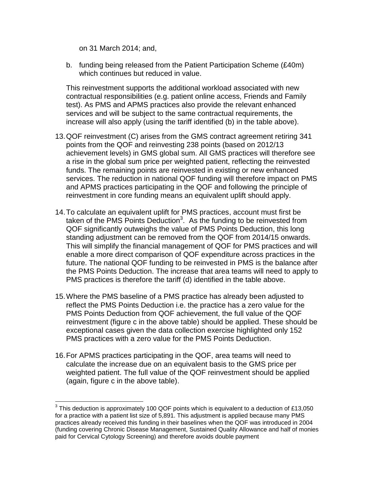on 31 March 2014; and,

b. funding being released from the Patient Participation Scheme (£40m) which continues but reduced in value.

This reinvestment supports the additional workload associated with new contractual responsibilities (e.g. patient online access, Friends and Family test). As PMS and APMS practices also provide the relevant enhanced services and will be subject to the same contractual requirements, the increase will also apply (using the tariff identified (b) in the table above).

- 13.QOF reinvestment (C) arises from the GMS contract agreement retiring 341 points from the QOF and reinvesting 238 points (based on 2012/13 achievement levels) in GMS global sum. All GMS practices will therefore see a rise in the global sum price per weighted patient, reflecting the reinvested funds. The remaining points are reinvested in existing or new enhanced services. The reduction in national QOF funding will therefore impact on PMS and APMS practices participating in the QOF and following the principle of reinvestment in core funding means an equivalent uplift should apply.
- 14.To calculate an equivalent uplift for PMS practices, account must first be taken of the PMS Points Deduction<sup>3</sup>. As the funding to be reinvested from QOF significantly outweighs the value of PMS Points Deduction, this long standing adjustment can be removed from the QOF from 2014/15 onwards. This will simplify the financial management of QOF for PMS practices and will enable a more direct comparison of QOF expenditure across practices in the future. The national QOF funding to be reinvested in PMS is the balance after the PMS Points Deduction. The increase that area teams will need to apply to PMS practices is therefore the tariff (d) identified in the table above.
- 15.Where the PMS baseline of a PMS practice has already been adjusted to reflect the PMS Points Deduction i.e. the practice has a zero value for the PMS Points Deduction from QOF achievement, the full value of the QOF reinvestment (figure c in the above table) should be applied. These should be exceptional cases given the data collection exercise highlighted only 152 PMS practices with a zero value for the PMS Points Deduction.
- 16.For APMS practices participating in the QOF, area teams will need to calculate the increase due on an equivalent basis to the GMS price per weighted patient. The full value of the QOF reinvestment should be applied (again, figure c in the above table).

 3 This deduction is approximately 100 QOF points which is equivalent to a deduction of £13,050 for a practice with a patient list size of 5,891. This adjustment is applied because many PMS practices already received this funding in their baselines when the QOF was introduced in 2004 (funding covering Chronic Disease Management, Sustained Quality Allowance and half of monies paid for Cervical Cytology Screening) and therefore avoids double payment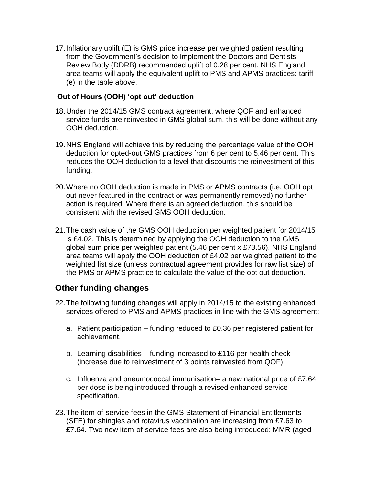17.Inflationary uplift (E) is GMS price increase per weighted patient resulting from the Government's decision to implement the Doctors and Dentists Review Body (DDRB) recommended uplift of 0.28 per cent. NHS England area teams will apply the equivalent uplift to PMS and APMS practices: tariff (e) in the table above.

#### **Out of Hours (OOH) 'opt out' deduction**

- 18.Under the 2014/15 GMS contract agreement, where QOF and enhanced service funds are reinvested in GMS global sum, this will be done without any OOH deduction.
- 19.NHS England will achieve this by reducing the percentage value of the OOH deduction for opted-out GMS practices from 6 per cent to 5.46 per cent. This reduces the OOH deduction to a level that discounts the reinvestment of this funding.
- 20.Where no OOH deduction is made in PMS or APMS contracts (i.e. OOH opt out never featured in the contract or was permanently removed) no further action is required. Where there is an agreed deduction, this should be consistent with the revised GMS OOH deduction.
- 21.The cash value of the GMS OOH deduction per weighted patient for 2014/15 is £4.02. This is determined by applying the OOH deduction to the GMS global sum price per weighted patient (5.46 per cent x £73.56). NHS England area teams will apply the OOH deduction of £4.02 per weighted patient to the weighted list size (unless contractual agreement provides for raw list size) of the PMS or APMS practice to calculate the value of the opt out deduction.

## **Other funding changes**

- 22.The following funding changes will apply in 2014/15 to the existing enhanced services offered to PMS and APMS practices in line with the GMS agreement:
	- a. Patient participation funding reduced to £0.36 per registered patient for achievement.
	- b. Learning disabilities funding increased to £116 per health check (increase due to reinvestment of 3 points reinvested from QOF).
	- c. Influenza and pneumococcal immunisation– a new national price of £7.64 per dose is being introduced through a revised enhanced service specification.
- 23.The item-of-service fees in the GMS Statement of Financial Entitlements (SFE) for shingles and rotavirus vaccination are increasing from £7.63 to £7.64. Two new item-of-service fees are also being introduced: MMR (aged